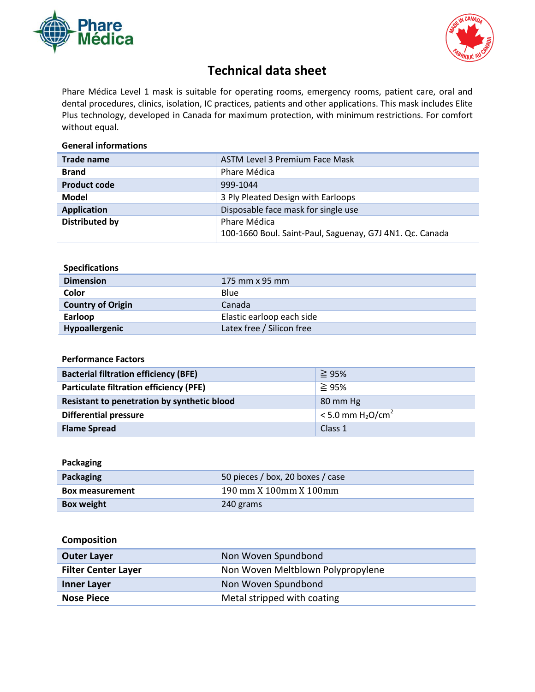



# **Technical data sheet**

Phare Médica Level 1 mask is suitable for operating rooms, emergency rooms, patient care, oral and dental procedures, clinics, isolation, IC practices, patients and other applications. This mask includes Elite Plus technology, developed in Canada for maximum protection, with minimum restrictions. For comfort without equal.

### **General informations**

| Trade name            | <b>ASTM Level 3 Premium Face Mask</b>                    |
|-----------------------|----------------------------------------------------------|
| <b>Brand</b>          | Phare Médica                                             |
| <b>Product code</b>   | 999-1044                                                 |
| Model                 | 3 Ply Pleated Design with Earloops                       |
| <b>Application</b>    | Disposable face mask for single use                      |
| <b>Distributed by</b> | Phare Médica                                             |
|                       | 100-1660 Boul. Saint-Paul, Saguenay, G7J 4N1. Qc. Canada |
|                       |                                                          |

| <b>Specifications</b>    |                           |
|--------------------------|---------------------------|
| <b>Dimension</b>         | 175 mm x 95 mm            |
| Color                    | Blue                      |
| <b>Country of Origin</b> | Canada                    |
| Earloop                  | Elastic earloop each side |
| Hypoallergenic           | Latex free / Silicon free |

#### **Performance Factors**

| <b>Bacterial filtration efficiency (BFE)</b>   | $\geq$ 95%                                  |
|------------------------------------------------|---------------------------------------------|
| <b>Particulate filtration efficiency (PFE)</b> | $\geq$ 95%                                  |
| Resistant to penetration by synthetic blood    | 80 mm Hg                                    |
| <b>Differential pressure</b>                   | $< 5.0$ mm H <sub>2</sub> O/cm <sup>2</sup> |
| <b>Flame Spread</b>                            | Class 1                                     |

# **Packaging**

| Packaging              | 50 pieces / box, 20 boxes / case |
|------------------------|----------------------------------|
| <b>Box measurement</b> | 190 mm X 100mm X 100mm           |
| <b>Box weight</b>      | 240 grams                        |

# **Composition**

| <b>Outer Layer</b>         | Non Woven Spundbond               |
|----------------------------|-----------------------------------|
| <b>Filter Center Layer</b> | Non Woven Meltblown Polypropylene |
| <b>Inner Layer</b>         | Non Woven Spundbond               |
| Nose Piece                 | Metal stripped with coating       |